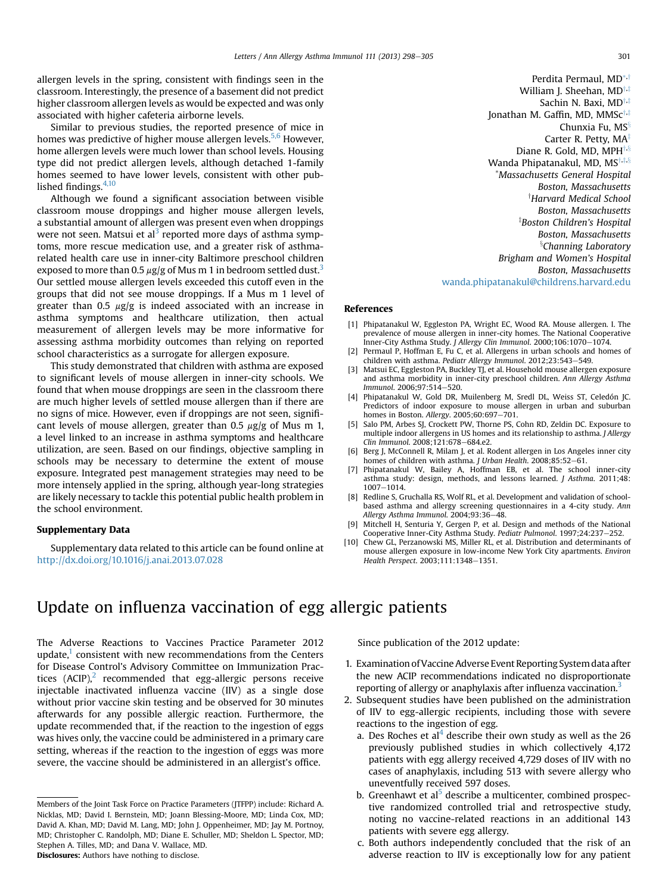allergen levels in the spring, consistent with findings seen in the classroom. Interestingly, the presence of a basement did not predict higher classroom allergen levels as would be expected and was only associated with higher cafeteria airborne levels.

Similar to previous studies, the reported presence of mice in homes was predictive of higher mouse allergen levels.<sup>5,6</sup> However, home allergen levels were much lower than school levels. Housing type did not predict allergen levels, although detached 1-family homes seemed to have lower levels, consistent with other published findings. $4,10$ 

Although we found a significant association between visible classroom mouse droppings and higher mouse allergen levels, a substantial amount of allergen was present even when droppings were not seen. Matsui et al<sup>3</sup> reported more days of asthma symptoms, more rescue medication use, and a greater risk of asthmarelated health care use in inner-city Baltimore preschool children exposed to more than 0.5  $\mu$ g/g of Mus m 1 in bedroom settled dust.<sup>3</sup> Our settled mouse allergen levels exceeded this cutoff even in the groups that did not see mouse droppings. If a Mus m 1 level of greater than 0.5  $\mu$ g/g is indeed associated with an increase in asthma symptoms and healthcare utilization, then actual measurement of allergen levels may be more informative for assessing asthma morbidity outcomes than relying on reported school characteristics as a surrogate for allergen exposure.

This study demonstrated that children with asthma are exposed to significant levels of mouse allergen in inner-city schools. We found that when mouse droppings are seen in the classroom there are much higher levels of settled mouse allergen than if there are no signs of mice. However, even if droppings are not seen, significant levels of mouse allergen, greater than 0.5  $\mu$ g/g of Mus m 1, a level linked to an increase in asthma symptoms and healthcare utilization, are seen. Based on our findings, objective sampling in schools may be necessary to determine the extent of mouse exposure. Integrated pest management strategies may need to be more intensely applied in the spring, although year-long strategies are likely necessary to tackle this potential public health problem in the school environment.

#### Supplementary Data

Supplementary data related to this article can be found online at <http://dx.doi.org/10.1016/j.anai.2013.07.028>

Perdita Permaul, MD\*,† William J. Sheehan,  $MD^{\dagger,\ddagger}$ Sachin N. Baxi,  $MD^{\dagger,\ddagger}$ Jonathan M. Gaffin, MD, MMS $c^{\dagger,\ddagger}$ Chunxia Fu,  $MS<sup>§</sup>$ Carter R. Petty,  $MA^{\ddagger}$ Diane R. Gold, MD, MPH $\ddagger$ , $\ddagger$ Wanda Phipatanakul, MD,  $MS^{\dagger,\ddagger,\ddagger,\ddagger}$ \*Massachusetts General Hospital Boston, Massachusetts *Harvard Medical School* Boston, Massachusetts  $^\ddagger$ Boston Children's Hospital Boston, Massachusetts <sup>§</sup>Channing Laboratory Brigham and Women's Hospital Boston, Massachusetts [wanda.phipatanakul@childrens.harvard.edu](mailto:wanda.phipatanakul@childrens.harvard.edu)

### References

- [1] Phipatanakul W, Eggleston PA, Wright EC, Wood RA. Mouse allergen. I. The prevalence of mouse allergen in inner-city homes. The National Cooperative Inner-City Asthma Study. J Allergy Clin Immunol. 2000;106:1070-1074.
- [2] Permaul P, Hoffman E, Fu C, et al. Allergens in urban schools and homes of children with asthma. Pediatr Allergy Immunol. 2012;23:543-549.
- [3] Matsui EC, Eggleston PA, Buckley TJ, et al. Household mouse allergen exposure and asthma morbidity in inner-city preschool children. Ann Allergy Asthma Immunol. 2006:97:514-520.
- [4] Phipatanakul W, Gold DR, Muilenberg M, Sredl DL, Weiss ST, Celedón JC. Predictors of indoor exposure to mouse allergen in urban and suburban homes in Boston. Allergy. 2005;60:697-701.
- [5] Salo PM, Arbes SJ, Crockett PW, Thorne PS, Cohn RD, Zeldin DC. Exposure to multiple indoor allergens in US homes and its relationship to asthma. J Allergy Clin Immunol. 2008;121:678-684.e2.
- [6] Berg J, McConnell R, Milam J, et al. Rodent allergen in Los Angeles inner city homes of children with asthma. J Urban Health. 2008;85:52-61.
- [7] Phipatanakul W, Bailey A, Hoffman EB, et al. The school inner-city asthma study: design, methods, and lessons learned. J Asthma. 2011;48: 1007-1014.
- [8] Redline S, Gruchalla RS, Wolf RL, et al. Development and validation of schoolbased asthma and allergy screening questionnaires in a 4-city study. Ann Allergy Asthma Immunol. 2004;93:36-48.
- [9] Mitchell H, Senturia Y, Gergen P, et al. Design and methods of the National Cooperative Inner-City Asthma Study. Pediatr Pulmonol. 1997;24:237-252.
- [10] Chew GL, Perzanowski MS, Miller RL, et al. Distribution and determinants of mouse allergen exposure in low-income New York City apartments. Environ Health Perspect. 2003;111:1348-1351.

# Update on influenza vaccination of egg allergic patients

The Adverse Reactions to Vaccines Practice Parameter 2012 update, $<sup>1</sup>$  $<sup>1</sup>$  $<sup>1</sup>$  consistent with new recommendations from the Centers</sup> for Disease Control's Advisory Committee on Immunization Practices  $(ACIP)_i^2$  $(ACIP)_i^2$  recommended that egg-allergic persons receive injectable inactivated influenza vaccine (IIV) as a single dose without prior vaccine skin testing and be observed for 30 minutes afterwards for any possible allergic reaction. Furthermore, the update recommended that, if the reaction to the ingestion of eggs was hives only, the vaccine could be administered in a primary care setting, whereas if the reaction to the ingestion of eggs was more severe, the vaccine should be administered in an allergist's office.

Since publication of the 2012 update:

- 1. Examination of Vaccine Adverse Event Reporting System data after the new ACIP recommendations indicated no disproportionate reporting of allergy or anaphylaxis after influenza vaccination.<sup>3</sup>
- 2. Subsequent studies have been published on the administration of IIV to egg-allergic recipients, including those with severe reactions to the ingestion of egg.
	- a. Des Roches et al<sup>[4](#page-1-0)</sup> describe their own study as well as the 26 previously published studies in which collectively 4,172 patients with egg allergy received 4,729 doses of IIV with no cases of anaphylaxis, including 513 with severe allergy who uneventfully received 597 doses.
	- b. Greenhawt et al<sup>[5](#page-1-0)</sup> describe a multicenter, combined prospective randomized controlled trial and retrospective study, noting no vaccine-related reactions in an additional 143 patients with severe egg allergy.
	- c. Both authors independently concluded that the risk of an adverse reaction to IIV is exceptionally low for any patient

Members of the Joint Task Force on Practice Parameters (JTFPP) include: Richard A. Nicklas, MD; David I. Bernstein, MD; Joann Blessing-Moore, MD; Linda Cox, MD; David A. Khan, MD; David M. Lang, MD; John J. Oppenheimer, MD; Jay M. Portnoy, MD; Christopher C. Randolph, MD; Diane E. Schuller, MD; Sheldon L. Spector, MD; Stephen A. Tilles, MD; and Dana V. Wallace, MD. Disclosures: Authors have nothing to disclose.